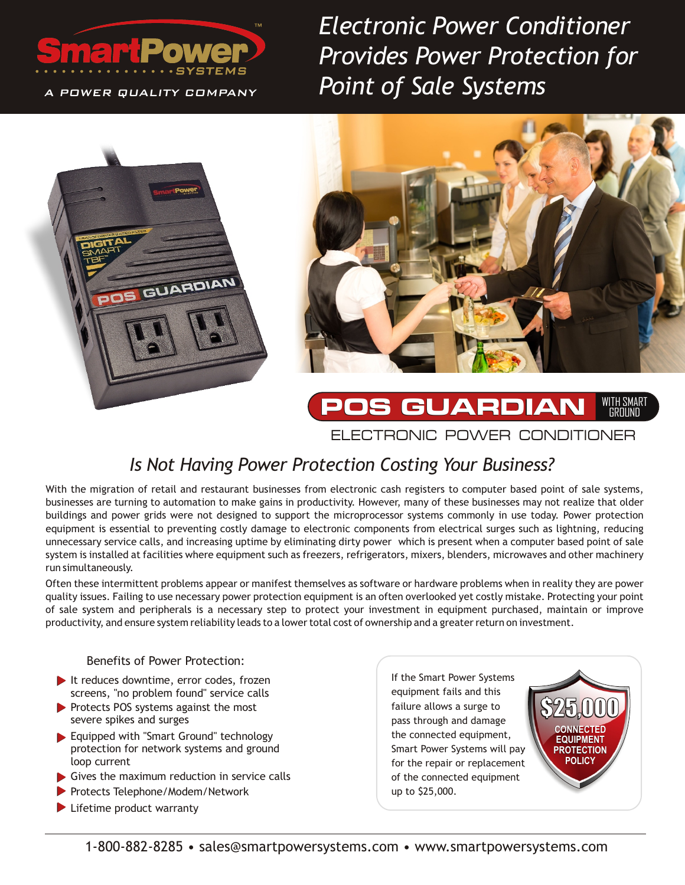

A POWER QUALITY COMPANY

*Electronic Power Conditioner Provides Power Protection for Point of Sale Systems* 





#### **POS GUARDIAN** ELECTRONIC POWER CONDITIONER WITH SMART GROUND

# *Is Not Having Power Protection Costing Your Business?*

With the migration of retail and restaurant businesses from electronic cash registers to computer based point of sale systems, businesses are turning to automation to make gains in productivity. However, many of these businesses may not realize that older buildings and power grids were not designed to support the microprocessor systems commonly in use today. Power protection equipment is essential to preventing costly damage to electronic components from electrical surges such as lightning, reducing unnecessary service calls, and increasing uptime by eliminating dirty power which is present when a computer based point of sale system is installed at facilities where equipment such as freezers, refrigerators, mixers, blenders, microwaves and other machinery run simultaneously.

Often these intermittent problems appear or manifest themselves as software or hardware problems when in reality they are power quality issues. Failing to use necessary power protection equipment is an often overlooked yet costly mistake. Protecting your point of sale system and peripherals is a necessary step to protect your investment in equipment purchased, maintain or improve productivity, and ensure system reliability leads to a lower total cost of ownership and a greater return on investment.

#### Benefits of Power Protection:

- It reduces downtime, error codes, frozen screens, "no problem found" service calls
- Protects POS systems against the most severe spikes and surges
- Equipped with "Smart Ground" technology protection for network systems and ground loop current
- Gives the maximum reduction in service calls
- Protects Telephone/Modem/Network
- **Lifetime product warranty**

If the Smart Power Systems equipment fails and this failure allows a surge to pass through and damage the connected equipment, Smart Power Systems will pay for the repair or replacement of the connected equipment up to \$25,000.